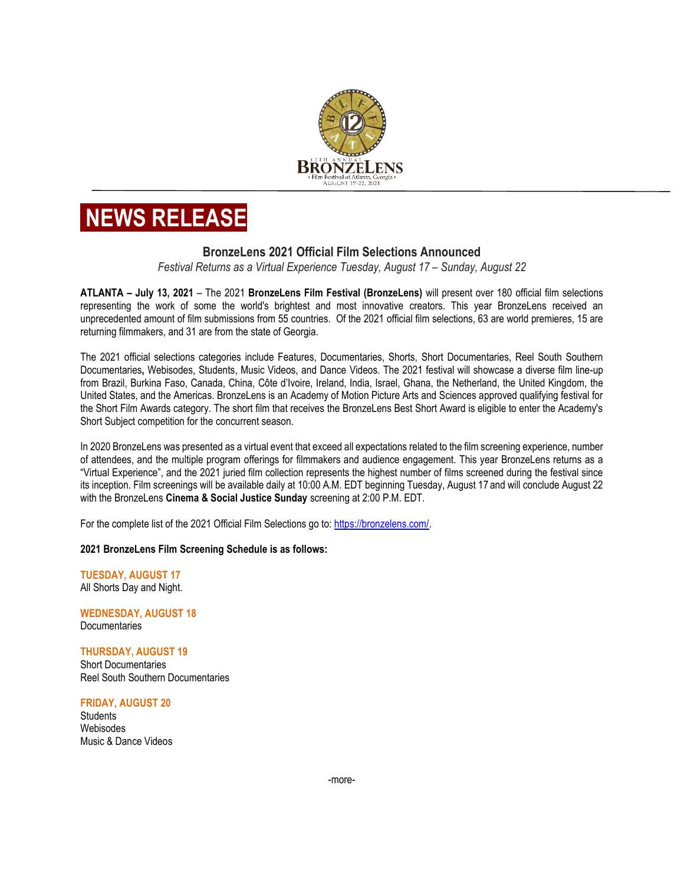



## **BronzeLens 2021 Official Film Selections Announced**

*Festival Returns as a Virtual Experience Tuesday, August 17 – Sunday, August 22*

**ATLANTA – July 13, 2021** – The 2021 **BronzeLens Film Festival (BronzeLens)** will present over 180 official film selections representing the work of some the world's brightest and most innovative creators. This year BronzeLens received an unprecedented amount of film submissions from 55 countries. Of the 2021 official film selections, 63 are world premieres, 15 are returning filmmakers, and 31 are from the state of Georgia.

The 2021 official selections categories include Features, Documentaries, Shorts, Short Documentaries, Reel South Southern Documentaries**,** Webisodes, Students, Music Videos, and Dance Videos. The 2021 festival will showcase a diverse film line-up from Brazil, Burkina Faso, Canada, China, Côte d'Ivoire, Ireland, India, Israel, Ghana, the Netherland, the United Kingdom, the United States, and the Americas. BronzeLens is an Academy of Motion Picture Arts and Sciences approved qualifying festival for the Short Film Awards category. The short film that receives the BronzeLens Best Short Award is eligible to enter the Academy's Short Subject competition for the concurrent season.

In 2020 BronzeLens was presented as a virtual event that exceed all expectations related to the film screening experience, number of attendees, and the multiple program offerings for filmmakers and audience engagement. This year BronzeLens returns as a "Virtual Experience", and the 2021 juried film collection represents the highest number of films screened during the festival since its inception. Film screenings will be available daily at 10:00 A.M. EDT beginning Tuesday, August 17 and will conclude August 22 with the BronzeLens **Cinema & Social Justice Sunday** screening at 2:00 P.M. EDT.

For the complete list of the 2021 Official Film Selections go to: [https://bronzelens.com/.](https://bronzelens.com/)

## **2021 BronzeLens Film Screening Schedule is as follows:**

**TUESDAY, AUGUST 17** All Shorts Day and Night.

**WEDNESDAY, AUGUST 18 Documentaries** 

**THURSDAY, AUGUST 19** Short Documentaries Reel South Southern Documentaries

**FRIDAY, AUGUST 20**

**Students Webisodes** Music & Dance Videos